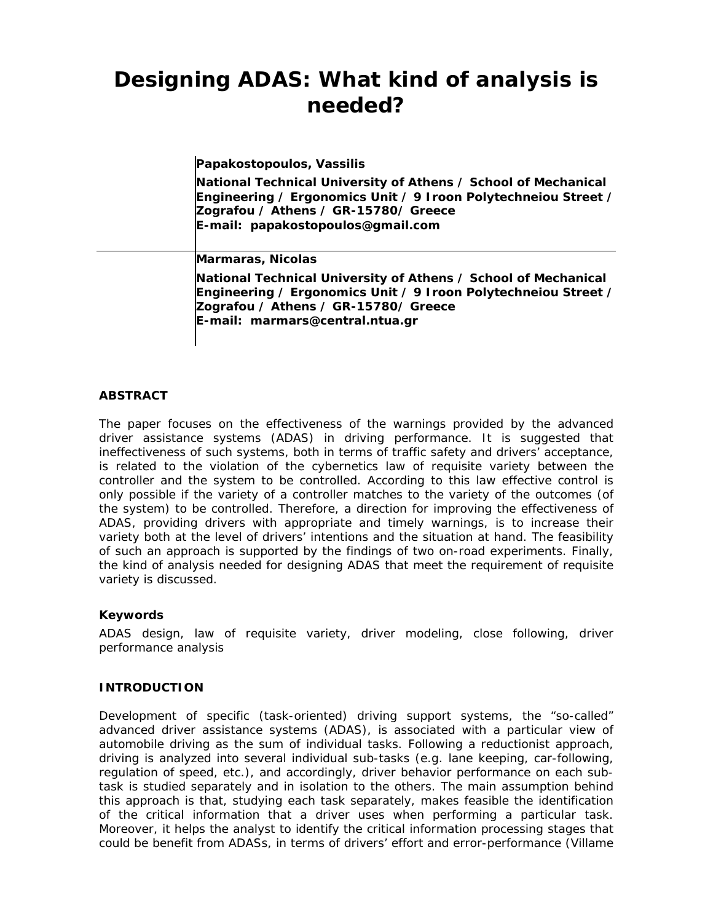# **Designing ADAS: What kind of analysis is needed?**

**Papakostopoulos, Vassilis** 

**National Technical University of Athens / School of Mechanical Engineering / Ergonomics Unit / 9 Iroon Polytechneiou Street / Zografou / Athens / GR-15780/ Greece E-mail: papakostopoulos@gmail.com** 

**Marmaras, Nicolas** 

**National Technical University of Athens / School of Mechanical Engineering / Ergonomics Unit / 9 Iroon Polytechneiou Street / Zografou / Athens / GR-15780/ Greece E-mail: marmars@central.ntua.gr** 

# **ABSTRACT**

The paper focuses on the effectiveness of the warnings provided by the advanced driver assistance systems (ADAS) in driving performance. It is suggested that ineffectiveness of such systems, both in terms of traffic safety and drivers' acceptance, is related to the violation of the cybernetics law of requisite variety between the controller and the system to be controlled. According to this law effective control is only possible if the variety of a controller matches to the variety of the outcomes (of the system) to be controlled. Therefore, a direction for improving the effectiveness of ADAS, providing drivers with appropriate and timely warnings, is to increase their variety both at the level of drivers' intentions and the situation at hand. The feasibility of such an approach is supported by the findings of two on-road experiments. Finally, the kind of analysis needed for designing ADAS that meet the requirement of requisite variety is discussed.

# **Keywords**

ADAS design, law of requisite variety, driver modeling, close following, driver performance analysis

# **INTRODUCTION**

Development of specific (task-oriented) driving support systems, the "so-called" *advanced driver assistance systems* (ADAS), is associated with a particular view of automobile driving as the sum of individual tasks. Following a reductionist approach, driving is analyzed into several individual sub-tasks (e.g. lane keeping, car-following, regulation of speed, etc.), and accordingly, driver behavior performance on each subtask is studied separately and in isolation to the others. The main assumption behind this approach is that, studying each task separately, makes feasible the identification of the critical information that a driver uses when performing a particular task. Moreover, it helps the analyst to identify the critical information processing stages that could be benefit from ADASs, in terms of drivers' effort and error-performance (Villame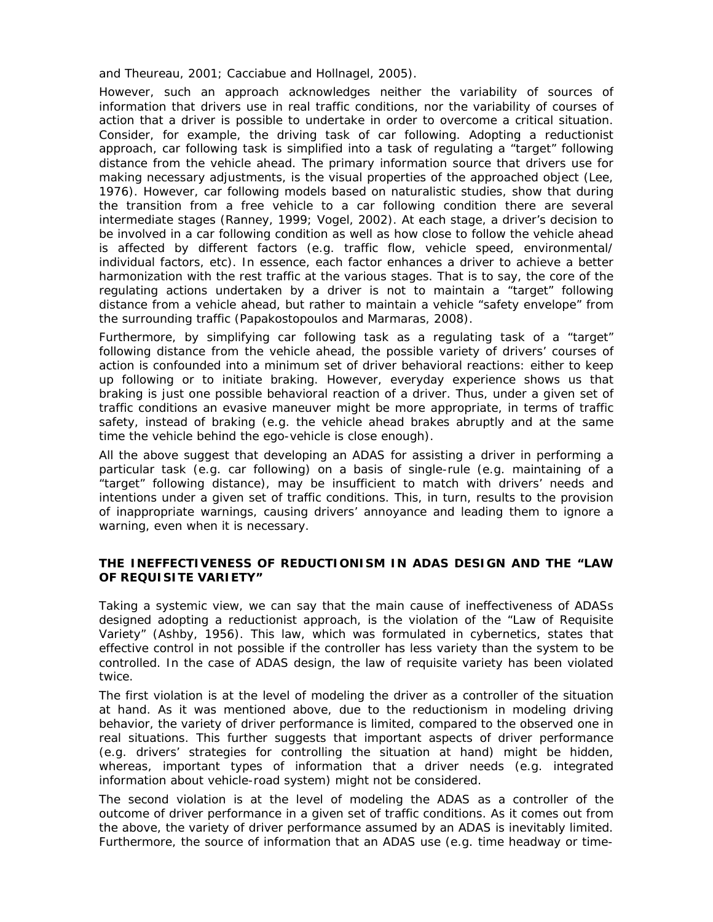and Theureau, 2001; Cacciabue and Hollnagel, 2005).

However, such an approach acknowledges neither the *variability of sources of information* that drivers use in real traffic conditions, nor the *variability of courses of action* that a driver is possible to undertake in order to overcome a critical situation. Consider, for example, the driving task of car following. Adopting a reductionist approach, car following task is simplified into a task of regulating a "target" following distance from the vehicle ahead. The primary information source that drivers use for making necessary adjustments, is the visual properties of the approached object (Lee, 1976). However, car following models based on naturalistic studies, show that during the transition from a free vehicle to a car following condition there are several intermediate stages (Ranney, 1999; Vogel, 2002). At each stage, a driver's decision to be involved in a car following condition as well as how close to follow the vehicle ahead is affected by different factors (e.g. traffic flow, vehicle speed, environmental/ individual factors, etc). In essence, each factor enhances a driver to achieve a better harmonization with the rest traffic at the various stages. That is to say, the core of the regulating actions undertaken by a driver is not to maintain a "target" following distance from a vehicle ahead, but rather to maintain a vehicle "safety envelope" from the surrounding traffic (Papakostopoulos and Marmaras, 2008).

Furthermore, by simplifying car following task as a regulating task of a "target" following distance from the vehicle ahead, the possible variety of drivers' courses of action is confounded into a minimum set of driver behavioral reactions: either to keep up following or to initiate braking. However, everyday experience shows us that braking is just one possible behavioral reaction of a driver. Thus, under a given set of traffic conditions an evasive maneuver might be more appropriate, in terms of traffic safety, instead of braking (e.g. the vehicle ahead brakes abruptly and at the same time the vehicle behind the ego-vehicle is close enough).

All the above suggest that developing an ADAS for assisting a driver in performing a particular task (e.g. car following) on a basis of single-rule (e.g. maintaining of a "target" following distance), may be insufficient to match with drivers' needs and intentions under a given set of traffic conditions. This, in turn, results to the provision of inappropriate warnings, causing drivers' annoyance and leading them to ignore a warning, even when it is necessary.

# **THE INEFFECTIVENESS OF REDUCTIONISM IN ADAS DESIGN AND THE "LAW OF REQUISITE VARIETY"**

Taking a systemic view, we can say that the main cause of ineffectiveness of ADASs designed adopting a reductionist approach, is the violation of the "Law of Requisite Variety" (Ashby, 1956). This law, which was formulated in cybernetics, states that effective control in not possible if the controller has less variety than the system to be controlled. In the case of ADAS design, the law of requisite variety has been violated twice.

The first violation is at the level of modeling the driver as a controller of the situation at hand. As it was mentioned above, due to the reductionism in modeling driving behavior, the variety of driver performance is limited, compared to the observed one in real situations. This further suggests that important aspects of driver performance (e.g. drivers' strategies for controlling the situation at hand) might be hidden, whereas, important types of information that a driver needs (e.g. integrated information about vehicle-road system) might not be considered.

The second violation is at the level of modeling the ADAS as a controller of the outcome of driver performance in a given set of traffic conditions. As it comes out from the above, the variety of driver performance assumed by an ADAS is inevitably limited. Furthermore, the source of information that an ADAS use (e.g. time headway or time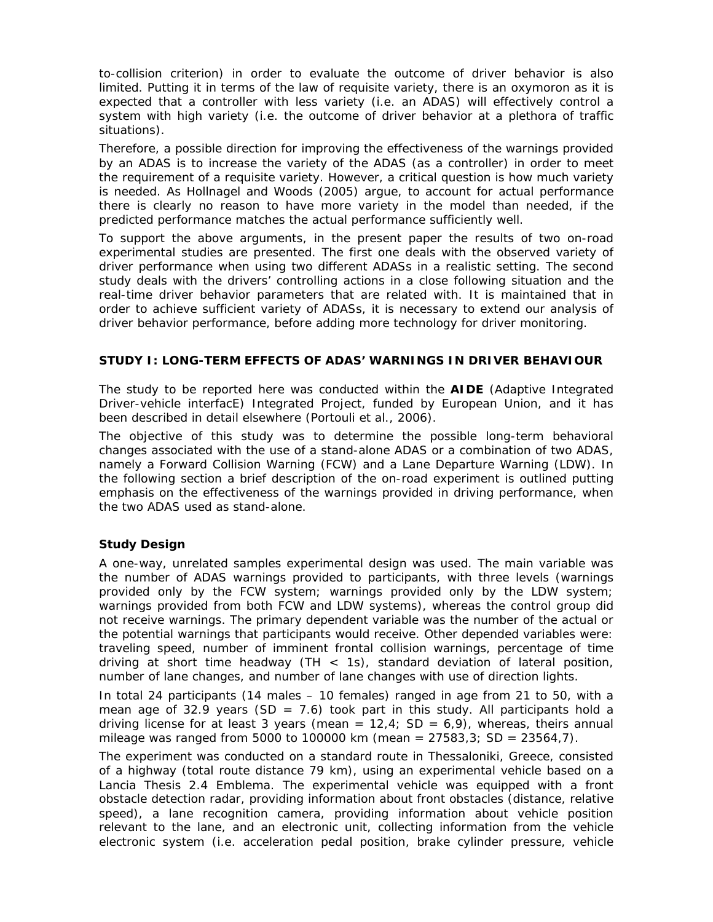to-collision criterion) in order to evaluate the outcome of driver behavior is also limited. Putting it in terms of the law of requisite variety, there is an oxymoron as it is expected that a controller with less variety (i.e. an ADAS) will effectively control a system with high variety (i.e. the outcome of driver behavior at a plethora of traffic situations).

Therefore, a possible direction for improving the effectiveness of the warnings provided by an ADAS is to increase the variety of the ADAS (as a controller) in order to meet the requirement of a requisite variety. However, a critical question is how much variety is needed. As Hollnagel and Woods (2005) argue, to account for actual performance there is clearly no reason to have more variety in the model than needed, if the predicted performance matches the actual performance sufficiently well.

To support the above arguments, in the present paper the results of two on-road experimental studies are presented. The first one deals with the observed variety of driver performance when using two different ADASs in a realistic setting. The second study deals with the drivers' controlling actions in a close following situation and the real-time driver behavior parameters that are related with. It is maintained that in order to achieve sufficient variety of ADASs, it is necessary to extend our analysis of driver behavior performance, before adding more technology for driver monitoring.

# **STUDY I: LONG-TERM EFFECTS OF ADAS' WARNINGS IN DRIVER BEHAVIOUR**

The study to be reported here was conducted within the **AIDE** (Adaptive Integrated Driver-vehicle interfacE) Integrated Project, funded by European Union, and it has been described in detail elsewhere (Portouli et al., 2006).

The objective of this study was to determine the possible long-term behavioral changes associated with the use of a stand-alone ADAS or a combination of two ADAS, namely a Forward Collision Warning (FCW) and a Lane Departure Warning (LDW). In the following section a brief description of the on-road experiment is outlined putting emphasis on the effectiveness of the warnings provided in driving performance, when the two ADAS used as stand-alone.

# **Study Design**

A one-way, unrelated samples experimental design was used. The main variable was the number of ADAS warnings provided to participants, with three levels (warnings provided only by the FCW system; warnings provided only by the LDW system; warnings provided from both FCW and LDW systems), whereas the control group did not receive warnings. The primary dependent variable was the number of the actual or the potential warnings that participants would receive. Other depended variables were: traveling speed, number of imminent frontal collision warnings, percentage of time driving at short time headway  $(TH < 1s)$ , standard deviation of lateral position, number of lane changes, and number of lane changes with use of direction lights.

In total 24 participants (14 males – 10 females) ranged in age from 21 to 50, with a mean age of 32.9 years (SD = 7.6) took part in this study. All participants hold a driving license for at least 3 years (mean =  $12.4$ ; SD =  $6.9$ ), whereas, theirs annual mileage was ranged from 5000 to 100000 km (mean =  $27583,3$ ; SD =  $23564,7$ ).

The experiment was conducted on a standard route in Thessaloniki, Greece, consisted of a highway (total route distance 79 km), using an experimental vehicle based on a Lancia Thesis 2.4 Emblema. The experimental vehicle was equipped with a front obstacle detection radar, providing information about front obstacles (distance, relative speed), a lane recognition camera, providing information about vehicle position relevant to the lane, and an electronic unit, collecting information from the vehicle electronic system (i.e. acceleration pedal position, brake cylinder pressure, vehicle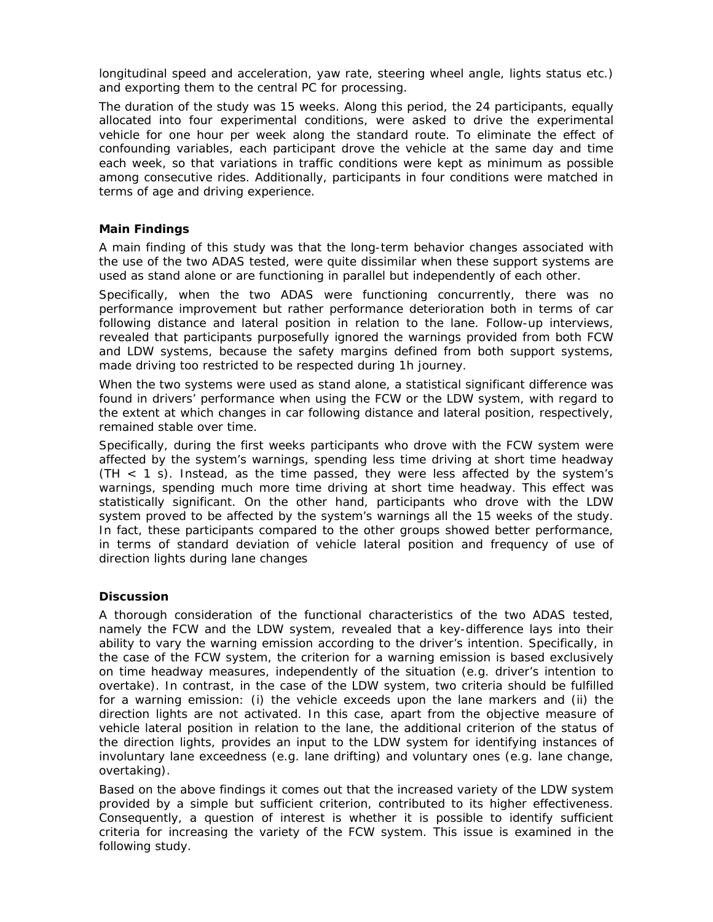longitudinal speed and acceleration, yaw rate, steering wheel angle, lights status etc.) and exporting them to the central PC for processing.

The duration of the study was 15 weeks. Along this period, the 24 participants, equally allocated into four experimental conditions, were asked to drive the experimental vehicle for one hour per week along the standard route. To eliminate the effect of confounding variables, each participant drove the vehicle at the same day and time each week, so that variations in traffic conditions were kept as minimum as possible among consecutive rides. Additionally, participants in four conditions were matched in terms of age and driving experience.

#### **Main Findings**

A main finding of this study was that the long-term behavior changes associated with the use of the two ADAS tested, were quite dissimilar when these support systems are used as stand alone or are functioning in parallel but independently of each other.

Specifically, when the two ADAS were functioning concurrently, there was no performance improvement but rather performance deterioration both in terms of car following distance and lateral position in relation to the lane. Follow-up interviews, revealed that participants purposefully ignored the warnings provided from both FCW and LDW systems, because the safety margins defined from both support systems, made driving too restricted to be respected during 1h journey.

When the two systems were used as stand alone, a statistical significant difference was found in drivers' performance when using the FCW or the LDW system, with regard to the extent at which changes in car following distance and lateral position, respectively, remained stable over time.

Specifically, during the first weeks participants who drove with the FCW system were affected by the system's warnings, spending less time driving at short time headway (TH < 1 s). Instead, as the time passed, they were less affected by the system's warnings, spending much more time driving at short time headway. This effect was statistically significant. On the other hand, participants who drove with the LDW system proved to be affected by the system's warnings all the 15 weeks of the study. In fact, these participants compared to the other groups showed better performance, in terms of standard deviation of vehicle lateral position and frequency of use of direction lights during lane changes

# **Discussion**

A thorough consideration of the functional characteristics of the two ADAS tested, namely the FCW and the LDW system, revealed that a key-difference lays into their ability to vary the warning emission according to the driver's intention. Specifically, in the case of the FCW system, the criterion for a warning emission is based exclusively on time headway measures, independently of the situation (e.g. driver's intention to overtake). In contrast, in the case of the LDW system, two criteria should be fulfilled for a warning emission: (i) the vehicle exceeds upon the lane markers and (ii) the direction lights are not activated. In this case, apart from the objective measure of vehicle lateral position in relation to the lane, the additional criterion of the status of the direction lights, provides an input to the LDW system for identifying instances of involuntary lane exceedness (e.g. lane drifting) and voluntary ones (e.g. lane change, overtaking).

Based on the above findings it comes out that the increased variety of the LDW system provided by a simple but sufficient criterion, contributed to its higher effectiveness. Consequently, a question of interest is whether it is possible to identify sufficient criteria for increasing the variety of the FCW system. This issue is examined in the following study.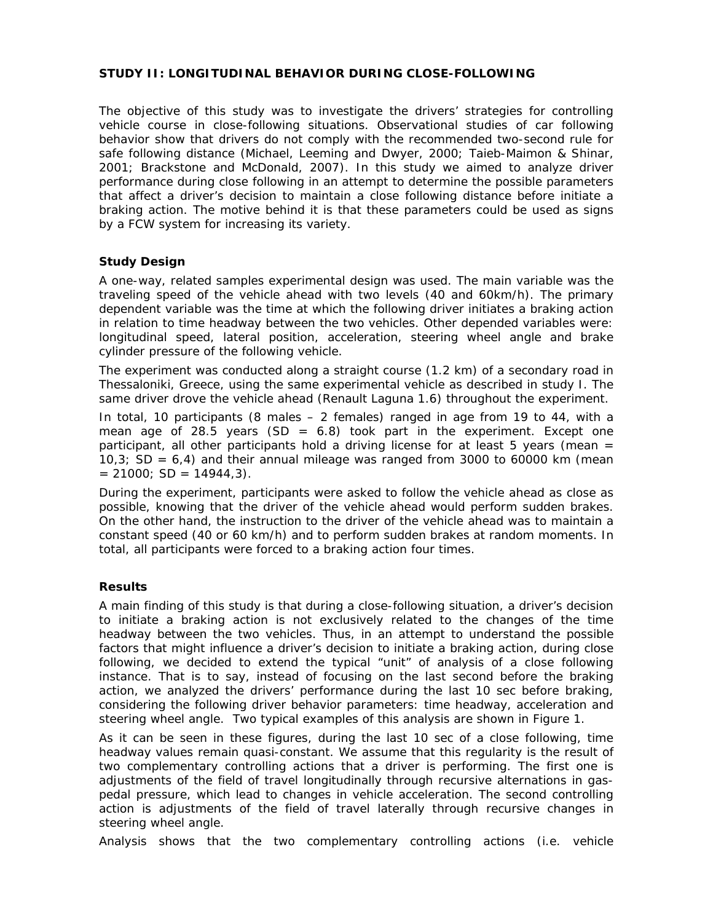#### **STUDY II: LONGITUDINAL BEHAVIOR DURING CLOSE-FOLLOWING**

The objective of this study was to investigate the drivers' strategies for controlling vehicle course in close-following situations. Observational studies of car following behavior show that drivers do not comply with the recommended two-second rule for safe following distance (Michael, Leeming and Dwyer, 2000; Taieb-Maimon & Shinar, 2001; Brackstone and McDonald, 2007). In this study we aimed to analyze driver performance during close following in an attempt to determine the possible parameters that affect a driver's decision to maintain a close following distance before initiate a braking action. The motive behind it is that these parameters could be used as signs by a FCW system for increasing its variety.

#### **Study Design**

A one-way, related samples experimental design was used. The main variable was the traveling speed of the vehicle ahead with two levels (40 and 60km/h). The primary dependent variable was the time at which the following driver initiates a braking action in relation to time headway between the two vehicles. Other depended variables were: longitudinal speed, lateral position, acceleration, steering wheel angle and brake cylinder pressure of the following vehicle.

The experiment was conducted along a straight course (1.2 km) of a secondary road in Thessaloniki, Greece, using the same experimental vehicle as described in study I. The same driver drove the vehicle ahead (Renault Laguna 1.6) throughout the experiment.

In total, 10 participants (8 males – 2 females) ranged in age from 19 to 44, with a mean age of 28.5 years  $(SD = 6.8)$  took part in the experiment. Except one participant, all other participants hold a driving license for at least 5 years (mean  $=$ 10,3; SD =  $6,4$ ) and their annual mileage was ranged from 3000 to 60000 km (mean  $= 21000$ ; SD  $= 14944,3$ ).

During the experiment, participants were asked to follow the vehicle ahead as close as possible, knowing that the driver of the vehicle ahead would perform sudden brakes. On the other hand, the instruction to the driver of the vehicle ahead was to maintain a constant speed (40 or 60 km/h) and to perform sudden brakes at random moments. In total, all participants were forced to a braking action four times.

#### **Results**

A main finding of this study is that during a close-following situation, a driver's decision to initiate a braking action is not exclusively related to the changes of the time headway between the two vehicles. Thus, in an attempt to understand the possible factors that might influence a driver's decision to initiate a braking action, during close following, we decided to extend the typical "unit" of analysis of a close following instance. That is to say, instead of focusing on the last second before the braking action, we analyzed the drivers' performance during the last 10 sec before braking, considering the following driver behavior parameters: time headway, acceleration and steering wheel angle. Two typical examples of this analysis are shown in Figure 1.

As it can be seen in these figures, during the last 10 sec of a close following, time headway values remain quasi-constant. We assume that this regularity is the result of two complementary controlling actions that a driver is performing. The first one is adjustments of the field of travel longitudinally through recursive alternations in gaspedal pressure, which lead to changes in vehicle acceleration. The second controlling action is adjustments of the field of travel laterally through recursive changes in steering wheel angle.

Analysis shows that the two complementary controlling actions (i.e. vehicle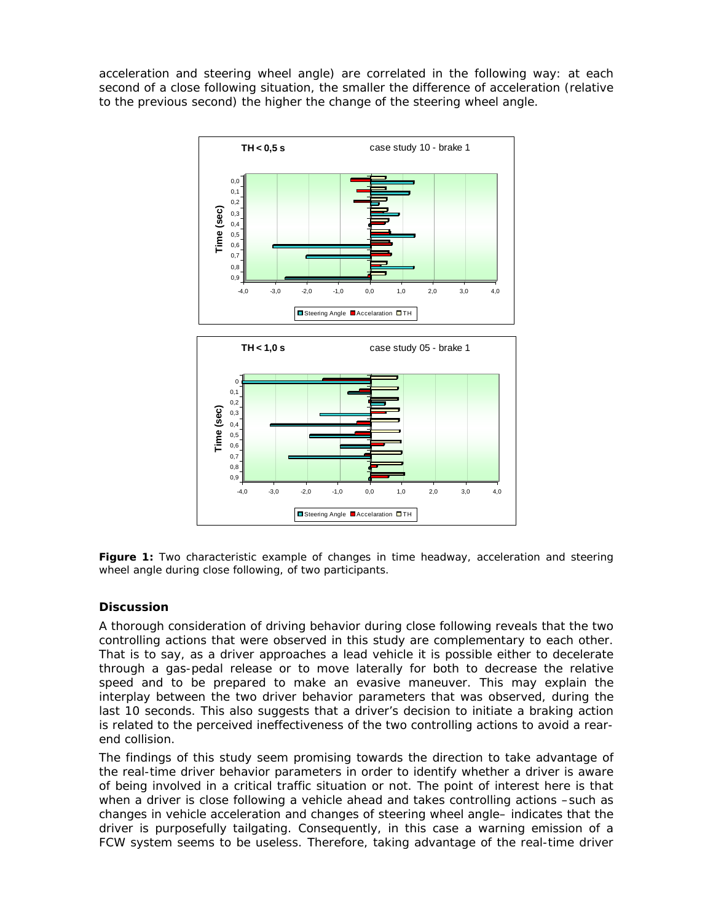acceleration and steering wheel angle) are correlated in the following way: at each second of a close following situation, the smaller the difference of acceleration (relative to the previous second) the higher the change of the steering wheel angle.



**Figure 1:** Two characteristic example of changes in time headway, acceleration and steering wheel angle during close following, of two participants.

# **Discussion**

A thorough consideration of driving behavior during close following reveals that the two controlling actions that were observed in this study are complementary to each other. That is to say, as a driver approaches a lead vehicle it is possible either to decelerate through a gas-pedal release or to move laterally for both to decrease the relative speed and to be prepared to make an evasive maneuver. This may explain the interplay between the two driver behavior parameters that was observed, during the last 10 seconds. This also suggests that a driver's decision to initiate a braking action is related to the perceived ineffectiveness of the two controlling actions to avoid a rearend collision.

The findings of this study seem promising towards the direction to take advantage of the real-time driver behavior parameters in order to identify whether a driver is aware of being involved in a critical traffic situation or not. The point of interest here is that when a driver is close following a vehicle ahead and takes controlling actions -such as changes in vehicle acceleration and changes of steering wheel angle– indicates that the driver is purposefully tailgating. Consequently, in this case a warning emission of a FCW system seems to be useless. Therefore, taking advantage of the real-time driver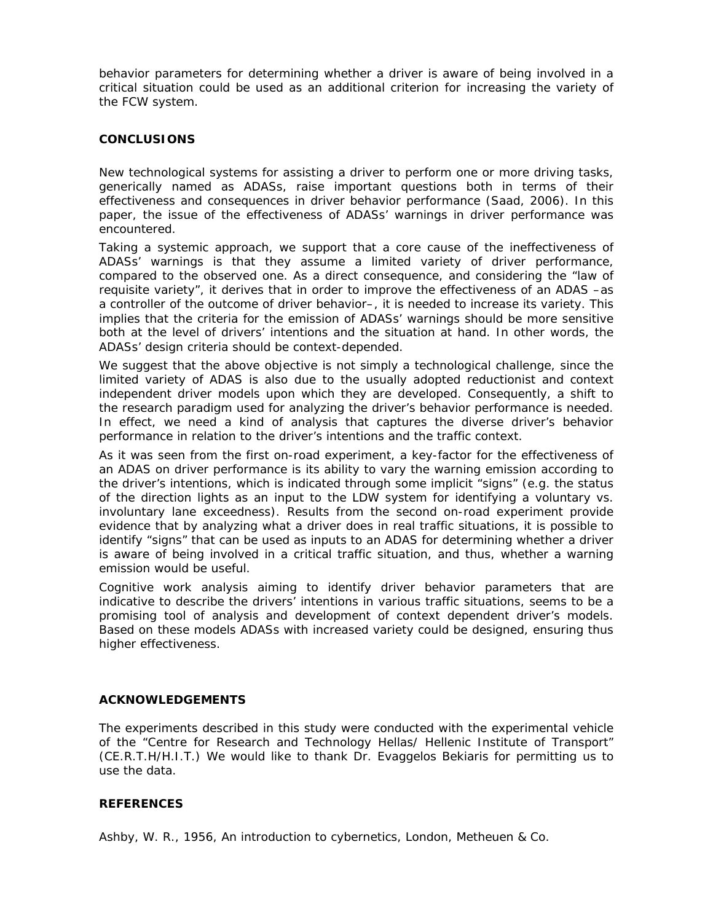behavior parameters for determining whether a driver is aware of being involved in a critical situation could be used as an additional criterion for increasing the variety of the FCW system.

#### **CONCLUSIONS**

New technological systems for assisting a driver to perform one or more driving tasks, generically named as ADASs, raise important questions both in terms of their effectiveness and consequences in driver behavior performance (Saad, 2006). In this paper, the issue of the effectiveness of ADASs' warnings in driver performance was encountered.

Taking a systemic approach, we support that a core cause of the ineffectiveness of ADASs' warnings is that they assume a limited variety of driver performance, compared to the observed one. As a direct consequence, and considering the "law of requisite variety", it derives that in order to improve the effectiveness of an ADAS –as a controller of the outcome of driver behavior–, it is needed to increase its variety. This implies that the criteria for the emission of ADASs' warnings should be more sensitive both at the level of drivers' intentions and the situation at hand. In other words, the ADASs' design criteria should be context-depended.

We suggest that the above objective is not simply a technological challenge, since the limited variety of ADAS is also due to the usually adopted reductionist and context independent driver models upon which they are developed. Consequently, a shift to the research paradigm used for analyzing the driver's behavior performance is needed. In effect, we need a kind of analysis that captures the diverse driver's behavior performance in relation to the driver's intentions and the traffic context.

As it was seen from the first on-road experiment, a key-factor for the effectiveness of an ADAS on driver performance is its ability to vary the warning emission according to the driver's intentions, which is indicated through some implicit "signs" (e.g. the status of the direction lights as an input to the LDW system for identifying a voluntary vs. involuntary lane exceedness). Results from the second on-road experiment provide evidence that by analyzing what a driver does in real traffic situations, it is possible to identify "signs" that can be used as inputs to an ADAS for determining whether a driver is aware of being involved in a critical traffic situation, and thus, whether a warning emission would be useful.

Cognitive work analysis aiming to identify driver behavior parameters that are indicative to describe the drivers' intentions in various traffic situations, seems to be a promising tool of analysis and development of context dependent driver's models. Based on these models ADASs with increased variety could be designed, ensuring thus higher effectiveness.

# **ACKNOWLEDGEMENTS**

The experiments described in this study were conducted with the experimental vehicle of the "Centre for Research and Technology Hellas/ Hellenic Institute of Transport" (CE.R.T.H/H.I.T.) We would like to thank Dr. Evaggelos Bekiaris for permitting us to use the data.

# **REFERENCES**

Ashby, W. R., 1956, An introduction to cybernetics, London, Metheuen & Co.